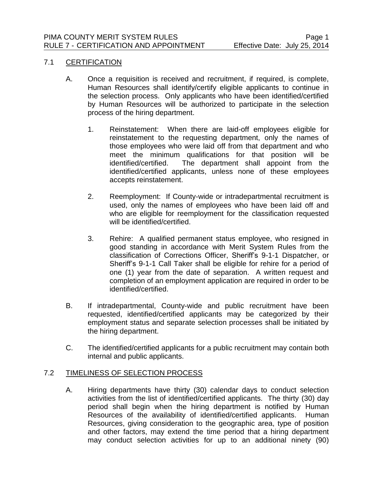## 7.1 CERTIFICATION

- A. Once a requisition is received and recruitment, if required, is complete, Human Resources shall identify/certify eligible applicants to continue in the selection process. Only applicants who have been identified/certified by Human Resources will be authorized to participate in the selection process of the hiring department.
	- 1. Reinstatement: When there are laid-off employees eligible for reinstatement to the requesting department, only the names of those employees who were laid off from that department and who meet the minimum qualifications for that position will be identified/certified. The department shall appoint from the identified/certified applicants, unless none of these employees accepts reinstatement.
	- 2. Reemployment: If County-wide or intradepartmental recruitment is used, only the names of employees who have been laid off and who are eligible for reemployment for the classification requested will be identified/certified.
	- 3. Rehire: A qualified permanent status employee, who resigned in good standing in accordance with Merit System Rules from the classification of Corrections Officer, Sheriff's 9-1-1 Dispatcher, or Sheriff's 9-1-1 Call Taker shall be eligible for rehire for a period of one (1) year from the date of separation. A written request and completion of an employment application are required in order to be identified/certified.
- B. If intradepartmental, County-wide and public recruitment have been requested, identified/certified applicants may be categorized by their employment status and separate selection processes shall be initiated by the hiring department.
- C. The identified/certified applicants for a public recruitment may contain both internal and public applicants.

## 7.2 TIMELINESS OF SELECTION PROCESS

A. Hiring departments have thirty (30) calendar days to conduct selection activities from the list of identified/certified applicants. The thirty (30) day period shall begin when the hiring department is notified by Human Resources of the availability of identified/certified applicants. Human Resources, giving consideration to the geographic area, type of position and other factors, may extend the time period that a hiring department may conduct selection activities for up to an additional ninety (90)